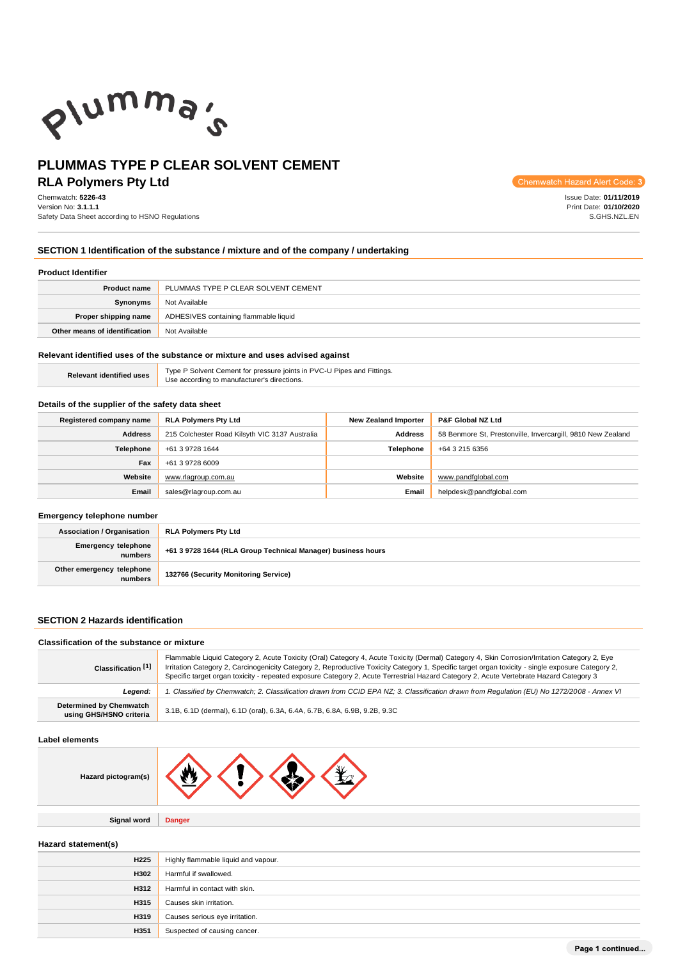

### **PLUMMAS TYPE P CLEAR SOLVENT CEMENT RLA Polymers Pty Ltd**

### Chemwatch: **5226-43**

Version No: **3.1.1.1** Safety Data Sheet according to HSNO Regulations Chemwatch Hazard Alert Code: 3

Issue Date: **01/11/2019** Print Date: **01/10/2020** S.GHS.NZL.EN

### **SECTION 1 Identification of the substance / mixture and of the company / undertaking**

### **Product Identifier**

| <b>Product name</b>           | PLUMMAS TYPE P CLEAR SOLVENT CEMENT   |  |
|-------------------------------|---------------------------------------|--|
| Synonyms                      | Not Available                         |  |
| Proper shipping name          | ADHESIVES containing flammable liquid |  |
| Other means of identification | Not Available                         |  |

### **Relevant identified uses of the substance or mixture and uses advised against**

| <b>Relevant identified uses</b> | Type P Solvent Cement for pressure joints in PVC-U Pipes and Fittings. |
|---------------------------------|------------------------------------------------------------------------|
|                                 | Use according to manufacturer's directions.                            |

### **Details of the supplier of the safety data sheet**

| Registered company name | <b>RLA Polymers Pty Ltd</b>                    | <b>New Zealand Importer</b> | <b>P&amp;F Global NZ Ltd</b>                                |
|-------------------------|------------------------------------------------|-----------------------------|-------------------------------------------------------------|
| <b>Address</b>          | 215 Colchester Road Kilsyth VIC 3137 Australia | <b>Address</b>              | 58 Benmore St, Prestonville, Invercargill, 9810 New Zealand |
| <b>Telephone</b>        | +61 3 9728 1644                                | <b>Telephone</b>            | +64 3 215 6356                                              |
| Fax                     | +61 3 9728 6009                                |                             |                                                             |
| Website                 | www.rlagroup.com.au                            | Website                     | www.pandfqlobal.com                                         |
| <b>Email</b>            | sales@rlagroup.com.au                          | <b>Email</b>                | helpdesk@pandfqlobal.com                                    |

#### **Emergency telephone number**

| <b>Association / Organisation</b>    | <b>RLA Polymers Pty Ltd</b>                                  |  |
|--------------------------------------|--------------------------------------------------------------|--|
| Emergency telephone<br>numbers       | +61 3 9728 1644 (RLA Group Technical Manager) business hours |  |
| Other emergency telephone<br>numbers | 132766 (Security Monitoring Service)                         |  |

### **SECTION 2 Hazards identification**

### **Classification of the substance or mixture**

| Classification [1]                                 | Flammable Liquid Category 2, Acute Toxicity (Oral) Category 4, Acute Toxicity (Dermal) Category 4, Skin Corrosion/Irritation Category 2, Eye<br>Irritation Category 2, Carcinogenicity Category 2, Reproductive Toxicity Category 1, Specific target organ toxicity - single exposure Category 2,<br>Specific target organ toxicity - repeated exposure Category 2, Acute Terrestrial Hazard Category 2, Acute Vertebrate Hazard Category 3 |  |
|----------------------------------------------------|---------------------------------------------------------------------------------------------------------------------------------------------------------------------------------------------------------------------------------------------------------------------------------------------------------------------------------------------------------------------------------------------------------------------------------------------|--|
| Leaend:                                            | 1. Classified by Chemwatch; 2. Classification drawn from CCID EPA NZ; 3. Classification drawn from Requlation (EU) No 1272/2008 - Annex VI                                                                                                                                                                                                                                                                                                  |  |
| Determined by Chemwatch<br>using GHS/HSNO criteria | 3.1B, 6.1D (dermal), 6.1D (oral), 6.3A, 6.4A, 6.7B, 6.8A, 6.9B, 9.2B, 9.3C                                                                                                                                                                                                                                                                                                                                                                  |  |

### **Label elements**

| Hazard pictogram(s) |  |  |  |  |
|---------------------|--|--|--|--|
|---------------------|--|--|--|--|

**Signal word Danger**

### **Hazard statement(s)**

| H <sub>225</sub> | Highly flammable liquid and vapour. |  |
|------------------|-------------------------------------|--|
| <b>H302</b>      | Harmful if swallowed.               |  |
| H312             | Harmful in contact with skin.       |  |
| H315             | Causes skin irritation.             |  |
| <b>H319</b>      | Causes serious eye irritation.      |  |
| H351             | Suspected of causing cancer.        |  |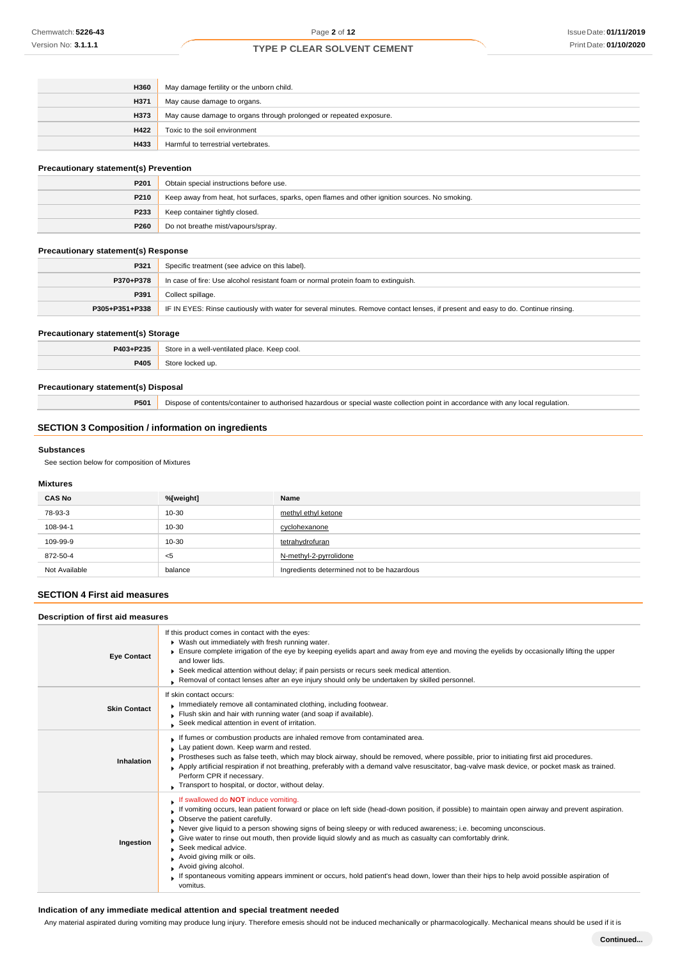| <b>H360</b> | May damage fertility or the unborn child.                          |  |
|-------------|--------------------------------------------------------------------|--|
| <b>H371</b> | May cause damage to organs.                                        |  |
| <b>H373</b> | May cause damage to organs through prolonged or repeated exposure. |  |
| H422        | Toxic to the soil environment                                      |  |
| <b>H433</b> | Harmful to terrestrial vertebrates.                                |  |

### **Precautionary statement(s) Prevention**

| P201 | Obtain special instructions before use.                                                        |  |  |
|------|------------------------------------------------------------------------------------------------|--|--|
| P210 | Keep away from heat, hot surfaces, sparks, open flames and other ignition sources. No smoking. |  |  |
| P233 | Keep container tightly closed.                                                                 |  |  |
| P260 | Do not breathe mist/vapours/spray.                                                             |  |  |

### **Precautionary statement(s) Response**

| P321           | Specific treatment (see advice on this label).                                                                                   |  |  |
|----------------|----------------------------------------------------------------------------------------------------------------------------------|--|--|
| P370+P378      | In case of fire: Use alcohol resistant foam or normal protein foam to extinguish.                                                |  |  |
| P391           | Collect spillage.                                                                                                                |  |  |
| P305+P351+P338 | IF IN EYES: Rinse cautiously with water for several minutes. Remove contact lenses, if present and easy to do. Continue rinsing. |  |  |

### **Precautionary statement(s) Storage**

| P403+P235 | Store in a well-ventilated place. Keep cool.<br>$  -$ |  |
|-----------|-------------------------------------------------------|--|
| P405      | Stor<br>' up.                                         |  |

### **Precautionary statement(s) Disposal**

**P501** Dispose of contents/container to authorised hazardous or special waste collection point in accordance with any local regulation.

### **SECTION 3 Composition / information on ingredients**

### **Substances**

See section below for composition of Mixtures

### **Mixtures**

| <b>CAS No</b> | %[weight] | Name                                       |
|---------------|-----------|--------------------------------------------|
| 78-93-3       | 10-30     | methyl ethyl ketone                        |
| 108-94-1      | 10-30     | cyclohexanone                              |
| 109-99-9      | 10-30     | tetrahydrofuran                            |
| 872-50-4      | $<$ 5     | N-methyl-2-pyrrolidone                     |
| Not Available | balance   | Ingredients determined not to be hazardous |

### **SECTION 4 First aid measures**

| Description of first aid measures |                                                                                                                                                                                                                                                                                                                                                                                                                                                                                                                                                                                                                                                                                                           |
|-----------------------------------|-----------------------------------------------------------------------------------------------------------------------------------------------------------------------------------------------------------------------------------------------------------------------------------------------------------------------------------------------------------------------------------------------------------------------------------------------------------------------------------------------------------------------------------------------------------------------------------------------------------------------------------------------------------------------------------------------------------|
| <b>Eye Contact</b>                | If this product comes in contact with the eyes:<br>• Wash out immediately with fresh running water.<br>Ensure complete irrigation of the eye by keeping eyelids apart and away from eye and moving the eyelids by occasionally lifting the upper<br>and lower lids.<br>► Seek medical attention without delay; if pain persists or recurs seek medical attention.<br>Removal of contact lenses after an eye injury should only be undertaken by skilled personnel.                                                                                                                                                                                                                                        |
| <b>Skin Contact</b>               | If skin contact occurs:<br>Immediately remove all contaminated clothing, including footwear.<br>Flush skin and hair with running water (and soap if available).<br>Seek medical attention in event of irritation.                                                                                                                                                                                                                                                                                                                                                                                                                                                                                         |
| Inhalation                        | If fumes or combustion products are inhaled remove from contaminated area.<br>Lay patient down. Keep warm and rested.<br>Prostheses such as false teeth, which may block airway, should be removed, where possible, prior to initiating first aid procedures.<br>Apply artificial respiration if not breathing, preferably with a demand valve resuscitator, bag-valve mask device, or pocket mask as trained.<br>Perform CPR if necessary.<br>Transport to hospital, or doctor, without delay.                                                                                                                                                                                                           |
| Ingestion                         | If swallowed do <b>NOT</b> induce vomiting.<br>If vomiting occurs, lean patient forward or place on left side (head-down position, if possible) to maintain open airway and prevent aspiration.<br>Observe the patient carefully.<br>Never give liquid to a person showing signs of being sleepy or with reduced awareness; i.e. becoming unconscious.<br>Give water to rinse out mouth, then provide liquid slowly and as much as casualty can comfortably drink.<br>Seek medical advice.<br>Avoid giving milk or oils.<br>Avoid giving alcohol.<br>If spontaneous vomiting appears imminent or occurs, hold patient's head down, lower than their hips to help avoid possible aspiration of<br>vomitus. |

### **Indication of any immediate medical attention and special treatment needed**

Any material aspirated during vomiting may produce lung injury. Therefore emesis should not be induced mechanically or pharmacologically. Mechanical means should be used if it is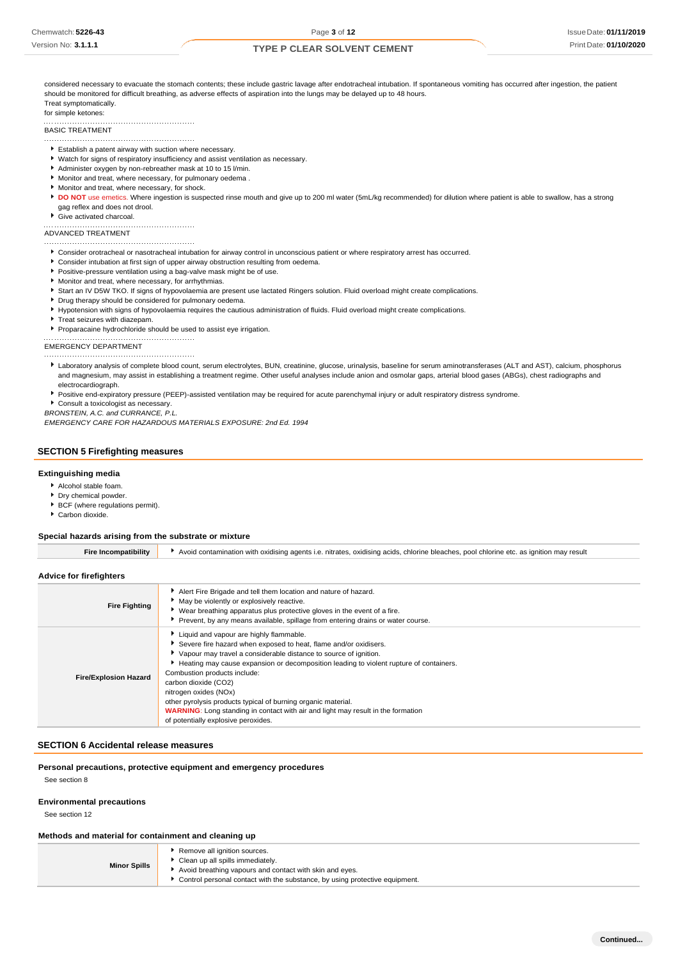considered necessary to evacuate the stomach contents; these include gastric lavage after endotracheal intubation. If spontaneous vomiting has occurred after ingestion, the patient should be monitored for difficult breathing, as adverse effects of aspiration into the lungs may be delayed up to 48 hours. Treat symptomatically.

#### for simple ketones:

BASIC TREATMENT

- 
- Establish a patent airway with suction where necessary.

- Watch for signs of respiratory insufficiency and assist ventilation as necessary.
- Administer oxygen by non-rebreather mask at 10 to 15 l/min. Monitor and treat, where necessary, for pulmonary oedema .
- Monitor and treat, where necessary, for shock.
- 
- **DO NOT** use emetics. Where ingestion is suspected rinse mouth and give up to 200 ml water (5mL/kg recommended) for dilution where patient is able to swallow, has a strong gag reflex and does not drool.
- Give activated charcoal.

## ADVANCED TREATMENT

- Consider orotracheal or nasotracheal intubation for airway control in unconscious patient or where respiratory arrest has occurred.
- Consider intubation at first sign of upper airway obstruction resulting from oedema.
- Positive-pressure ventilation using a bag-valve mask might be of use.
- Monitor and treat, where necessary, for arrhythmias.
- Start an IV D5W TKO. If signs of hypovolaemia are present use lactated Ringers solution. Fluid overload might create complications.
- **P** Drug therapy should be considered for pulmonary oedema.
- Hypotension with signs of hypovolaemia requires the cautious administration of fluids. Fluid overload might create complications.
- **F** Treat seizures with diazepam.
- Proparacaine hydrochloride should be used to assist eye irrigation.

EMERGENCY DEPARTMENT 

- Laboratory analysis of complete blood count, serum electrolytes, BUN, creatinine, glucose, urinalysis, baseline for serum aminotransferases (ALT and AST), calcium, phosphorus and magnesium, may assist in establishing a treatment regime. Other useful analyses include anion and osmolar gaps, arterial blood gases (ABGs), chest radiographs and electrocardiograph.
- Positive end-expiratory pressure (PEEP)-assisted ventilation may be required for acute parenchymal injury or adult respiratory distress syndrome.

Consult a toxicologist as necessary.

*BRONSTEIN, A.C. and CURRANCE, P.L.*

*EMERGENCY CARE FOR HAZARDOUS MATERIALS EXPOSURE: 2nd Ed. 1994*

#### **SECTION 5 Firefighting measures**

### **Extinguishing media**

- Alcohol stable foam.
- **P** Dry chemical powder.
- **BCF** (where regulations permit).
- Carbon dioxide.

### **Special hazards arising from the substrate or mixture**

| Advice for firefighters      |                                                                                                                                                                                                                                                                                                                                                                                                                                                                                                                                                                 |
|------------------------------|-----------------------------------------------------------------------------------------------------------------------------------------------------------------------------------------------------------------------------------------------------------------------------------------------------------------------------------------------------------------------------------------------------------------------------------------------------------------------------------------------------------------------------------------------------------------|
| <b>Fire Fighting</b>         | Alert Fire Brigade and tell them location and nature of hazard.<br>May be violently or explosively reactive.<br>▶ Wear breathing apparatus plus protective gloves in the event of a fire.<br>Prevent, by any means available, spillage from entering drains or water course.                                                                                                                                                                                                                                                                                    |
| <b>Fire/Explosion Hazard</b> | Liquid and vapour are highly flammable.<br>Severe fire hazard when exposed to heat, flame and/or oxidisers.<br>▶ Vapour may travel a considerable distance to source of ignition.<br>Heating may cause expansion or decomposition leading to violent rupture of containers.<br>Combustion products include:<br>carbon dioxide (CO2)<br>nitrogen oxides (NOx)<br>other pyrolysis products typical of burning organic material.<br><b>WARNING:</b> Long standing in contact with air and light may result in the formation<br>of potentially explosive peroxides. |

**Fire Incompatibility Avoid contamination with oxidising agents i.e. nitrates, oxidising acids, chlorine bleaches, pool chlorine etc. as ignition may result** 

### **SECTION 6 Accidental release measures**

**Personal precautions, protective equipment and emergency procedures**

See section 8

### **Environmental precautions**

See section 12

### **Methods and material for containment and cleaning up**

| <b>Minor Spills</b> | Remove all ignition sources.<br>Clean up all spills immediately.<br>Avoid breathing vapours and contact with skin and eyes. |
|---------------------|-----------------------------------------------------------------------------------------------------------------------------|
|                     | Control personal contact with the substance, by using protective equipment.                                                 |

**Continued...**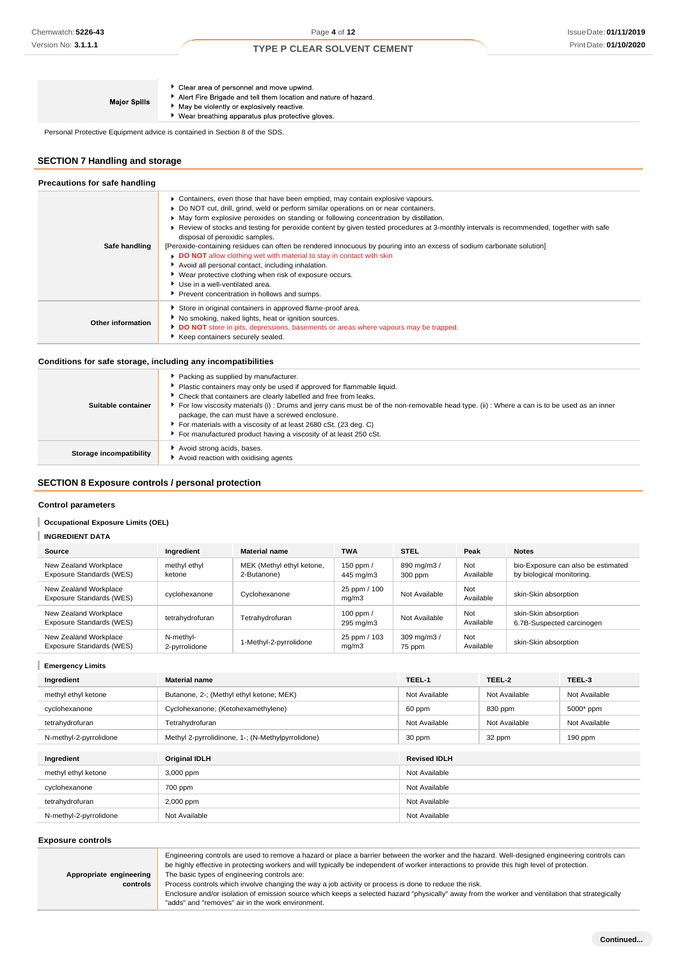▶ Clear area of personnel and move upwind. Alert Fire Brigade and tell them location and nature of hazard. **Major Spills** May be violently or explosively reactive. ▶ Wear breathing apparatus plus protective gloves.

Personal Protective Equipment advice is contained in Section 8 of the SDS.

### **SECTION 7 Handling and storage**

| Precautions for safe handling |                                                                                                                                                                                                                                                                                                                                                                                                                                                                                                                                                                                                                                                                                                                                                                                                                                                     |
|-------------------------------|-----------------------------------------------------------------------------------------------------------------------------------------------------------------------------------------------------------------------------------------------------------------------------------------------------------------------------------------------------------------------------------------------------------------------------------------------------------------------------------------------------------------------------------------------------------------------------------------------------------------------------------------------------------------------------------------------------------------------------------------------------------------------------------------------------------------------------------------------------|
| Safe handling                 | • Containers, even those that have been emptied, may contain explosive vapours.<br>• Do NOT cut, drill, grind, weld or perform similar operations on or near containers.<br>• May form explosive peroxides on standing or following concentration by distillation.<br>► Review of stocks and testing for peroxide content by given tested procedures at 3-monthly intervals is recommended, together with safe<br>disposal of peroxidic samples.<br>[Peroxide-containing residues can often be rendered innocuous by pouring into an excess of sodium carbonate solution]<br>DO NOT allow clothing wet with material to stay in contact with skin<br>Avoid all personal contact, including inhalation.<br>▶ Wear protective clothing when risk of exposure occurs.<br>Use in a well-ventilated area.<br>Prevent concentration in hollows and sumps. |
| Other information             | Store in original containers in approved flame-proof area.<br>No smoking, naked lights, heat or ignition sources.<br>DO NOT store in pits, depressions, basements or areas where vapours may be trapped.<br>Keep containers securely sealed.                                                                                                                                                                                                                                                                                                                                                                                                                                                                                                                                                                                                        |

### **Conditions for safe storage, including any incompatibilities**

| Suitable container      | Packing as supplied by manufacturer.<br>Plastic containers may only be used if approved for flammable liquid.<br>* Check that containers are clearly labelled and free from leaks.<br>For low viscosity materials (i): Drums and jerry cans must be of the non-removable head type. (ii): Where a can is to be used as an inner<br>package, the can must have a screwed enclosure.<br>For materials with a viscosity of at least 2680 cSt. (23 deg. C)<br>For manufactured product having a viscosity of at least 250 cSt. |
|-------------------------|----------------------------------------------------------------------------------------------------------------------------------------------------------------------------------------------------------------------------------------------------------------------------------------------------------------------------------------------------------------------------------------------------------------------------------------------------------------------------------------------------------------------------|
| Storage incompatibility | Avoid strong acids, bases.<br>Avoid reaction with oxidising agents                                                                                                                                                                                                                                                                                                                                                                                                                                                         |

### **SECTION 8 Exposure controls / personal protection**

### **Control parameters**

**INGREDIENT DATA**

### **Occupational Exposure Limits (OEL)**

|  | Source                                            | Ingredient                 | <b>Material name</b>                     | <b>TWA</b>               | <b>STEL</b>            | Peak             | <b>Notes</b>                                                    |
|--|---------------------------------------------------|----------------------------|------------------------------------------|--------------------------|------------------------|------------------|-----------------------------------------------------------------|
|  | New Zealand Workplace<br>Exposure Standards (WES) | methyl ethyl<br>ketone     | MEK (Methyl ethyl ketone,<br>2-Butanone) | 150 ppm $/$<br>445 mg/m3 | 890 mg/m3 /<br>300 ppm | Not<br>Available | bio-Exposure can also be estimated<br>by biological monitoring. |
|  | New Zealand Workplace<br>Exposure Standards (WES) | cyclohexanone              | Cyclohexanone                            | 25 ppm / 100<br>mq/m3    | Not Available          | Not<br>Available | skin-Skin absorption                                            |
|  | New Zealand Workplace<br>Exposure Standards (WES) | tetrahydrofuran            | Tetrahydrofuran                          | 100 ppm $/$<br>295 mg/m3 | Not Available          | Not<br>Available | skin-Skin absorption<br>6.7B-Suspected carcinogen               |
|  | New Zealand Workplace<br>Exposure Standards (WES) | N-methyl-<br>2-pyrrolidone | 1-Methyl-2-pyrrolidone                   | 25 ppm / 103<br>mq/m3    | 309 mg/m3 /<br>75 ppm  | Not<br>Available | skin-Skin absorption                                            |

### **Emergency Limits**

| Ingredient             | <b>Material name</b>                              | TEEL-1              | TEEL-2        | TEEL-3        |
|------------------------|---------------------------------------------------|---------------------|---------------|---------------|
| methyl ethyl ketone    | Butanone, 2-; (Methyl ethyl ketone; MEK)          | Not Available       | Not Available | Not Available |
| cyclohexanone          | Cyclohexanone; (Ketohexamethylene)                | 60 ppm              | 830 ppm       | 5000* ppm     |
| tetrahydrofuran        | Tetrahydrofuran                                   | Not Available       | Not Available | Not Available |
| N-methyl-2-pyrrolidone | Methyl 2-pyrrolidinone, 1-; (N-Methylpyrrolidone) | 30 ppm              | 32 ppm        | $190$ ppm     |
|                        |                                                   |                     |               |               |
| Ingredient             | <b>Original IDLH</b>                              | <b>Revised IDLH</b> |               |               |
| methyl ethyl ketone    | 3,000 ppm                                         | Not Available       |               |               |
| cyclohexanone          | 700 ppm                                           | Not Available       |               |               |
| tetrahydrofuran        | 2,000 ppm                                         | Not Available       |               |               |
| N-methyl-2-pyrrolidone | Not Available                                     | Not Available       |               |               |

### **Exposure controls**

**controls**

|                         | Engineering controls are used to remove a hazard or place a barrier between the worker and the hazard. Well-designed engineering controls can |  |  |  |  |
|-------------------------|-----------------------------------------------------------------------------------------------------------------------------------------------|--|--|--|--|
|                         | be highly effective in protecting workers and will typically be independent of worker interactions to provide this high level of protection.  |  |  |  |  |
| Appropriate engineering | The basic types of engineering controls are:                                                                                                  |  |  |  |  |

Process controls which involve changing the way a job activity or process is done to reduce the risk.

Enclosure and/or isolation of emission source which keeps a selected hazard "physically" away from the worker and ventilation that strategically "adds" and "removes" air in the work environment.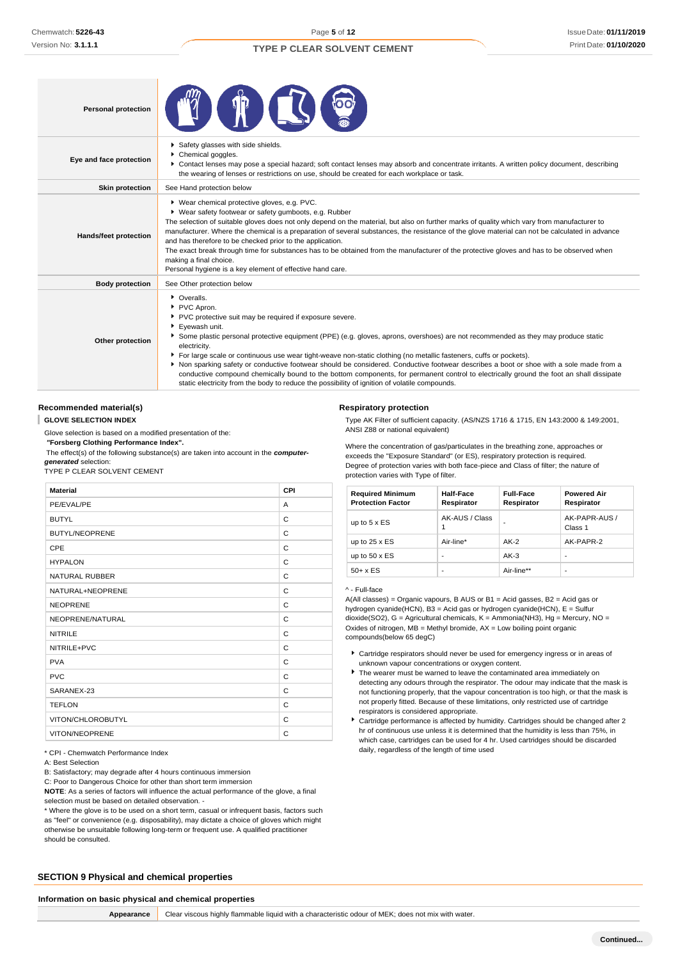### IssueDate: **01/11/2019** Print Date: **01/10/2020**

| <b>Personal protection</b>                                                                                                                                                                                                                                                                                                                                                                                                                                                                                                                                                                                                                                                                                                        |                                                                                                                                                                                                                                                                                                                                                                                                                                                                                                                                                                                                                                                                                                                                                                       |
|-----------------------------------------------------------------------------------------------------------------------------------------------------------------------------------------------------------------------------------------------------------------------------------------------------------------------------------------------------------------------------------------------------------------------------------------------------------------------------------------------------------------------------------------------------------------------------------------------------------------------------------------------------------------------------------------------------------------------------------|-----------------------------------------------------------------------------------------------------------------------------------------------------------------------------------------------------------------------------------------------------------------------------------------------------------------------------------------------------------------------------------------------------------------------------------------------------------------------------------------------------------------------------------------------------------------------------------------------------------------------------------------------------------------------------------------------------------------------------------------------------------------------|
| Eye and face protection                                                                                                                                                                                                                                                                                                                                                                                                                                                                                                                                                                                                                                                                                                           | Safety glasses with side shields.<br>Chemical goggles.<br>▶ Contact lenses may pose a special hazard; soft contact lenses may absorb and concentrate irritants. A written policy document, describing<br>the wearing of lenses or restrictions on use, should be created for each workplace or task.                                                                                                                                                                                                                                                                                                                                                                                                                                                                  |
| <b>Skin protection</b>                                                                                                                                                                                                                                                                                                                                                                                                                                                                                                                                                                                                                                                                                                            | See Hand protection below                                                                                                                                                                                                                                                                                                                                                                                                                                                                                                                                                                                                                                                                                                                                             |
| ▶ Wear chemical protective gloves, e.g. PVC.<br>▶ Wear safety footwear or safety gumboots, e.g. Rubber<br>The selection of suitable gloves does not only depend on the material, but also on further marks of quality which vary from manufacturer to<br>manufacturer. Where the chemical is a preparation of several substances, the resistance of the glove material can not be calculated in advance<br>Hands/feet protection<br>and has therefore to be checked prior to the application.<br>The exact break through time for substances has to be obtained from the manufacturer of the protective gloves and has to be observed when<br>making a final choice.<br>Personal hygiene is a key element of effective hand care. |                                                                                                                                                                                                                                                                                                                                                                                                                                                                                                                                                                                                                                                                                                                                                                       |
| <b>Body protection</b>                                                                                                                                                                                                                                                                                                                                                                                                                                                                                                                                                                                                                                                                                                            | See Other protection below                                                                                                                                                                                                                                                                                                                                                                                                                                                                                                                                                                                                                                                                                                                                            |
| Other protection                                                                                                                                                                                                                                                                                                                                                                                                                                                                                                                                                                                                                                                                                                                  | • Overalls.<br>PVC Apron.<br>PVC protective suit may be required if exposure severe.<br>Eyewash unit.<br>Some plastic personal protective equipment (PPE) (e.g. gloves, aprons, overshoes) are not recommended as they may produce static<br>electricity.<br>For large scale or continuous use wear tight-weave non-static clothing (no metallic fasteners, cuffs or pockets).<br>▶ Non sparking safety or conductive footwear should be considered. Conductive footwear describes a boot or shoe with a sole made from a<br>conductive compound chemically bound to the bottom components, for permanent control to electrically ground the foot an shall dissipate<br>static electricity from the body to reduce the possibility of ignition of volatile compounds. |

### **Recommended material(s)**

ı **GLOVE SELECTION INDEX**

Glove selection is based on a modified presentation of the:

*"***Forsberg Clothing Performance Index".**

The effect(s) of the following substance(s) are taken into account in the *computergenerated* selection:

TYPE P CLEAR SOLVENT CEMENT

### **Material CPI** PE/EVAL/PE A BUTYL CONTROL CONTROL CONTROL CONTROL CONTROL CONTROL CONTROL CONTROL CONTROL CONTROL CONTROL CONTROL CONTROL CONTROL CONTROL CONTROL CONTROL CONTROL CONTROL CONTROL CONTROL CONTROL CONTROL CONTROL CONTROL CONTROL CONTROL BUTYL/NEOPRENE CONTROL CONTROL CONTROL CONTROL CONTROL CONTROL CONTROL CONTROL CONTROL CONTROL CONTROL CONTROL CONTROL CONTROL CONTROL CONTROL CONTROL CONTROL CONTROL CONTROL CONTROL CONTROL CONTROL CONTROL CONTROL CONTROL CPE CONTRACT CONTRACT CONTRACT CONTRACT CONTRACT CONTRACT CONTRACT CONTRACT CONTRACT CONTRACT CONTRACT CONTRACT CONTRACT CONTRACT CONTRACT CONTRACT CONTRACT CONTRACT CONTRACT CONTRACT CONTRACT CONTRACT CONTRACT CONTRACT CO HYPALON C NATURAL RUBBER COMPANY OF THE SERIES OF THE SERIES OF THE SERIES OF THE SERIES OF THE SERIES OF THE SERIES OF THE SERIES OF THE SERIES OF THE SERIES OF THE SERIES OF THE SERIES OF THE SERIES OF THE SERIES OF THE SERIES OF NATURAL+NEOPRENE CONTROLLER CONTROLLER CONTROLLER CONTROLLER CONTROLLER CONTROLLER CONTROLLER CONTROLLER CONTROLLER CONTROLLER CONTROLLER CONTROLLER CONTROLLER CONTROLLER CONTROLLER CONTROLLER CONTROLLER CONTROLLER CONTROL NEOPRENE C NEOPRENE/NATURAL C NITRILE COMMUNIST CONTROLLER COMMUNIST CONTROLLER COMMUNIST CONTROLLER COMMUNIST CONTROLLER COMMUNIST CONTROLLER NITRILE+PVC C PVA COMPOSED CONTROL COMPONENT COMPONENT COMPONENT COMPONENT COMPONENT COMPONENT COMPONENT COMPONENT COMPONENT COMPONENT COMPONENT COMPONENT COMPONENT COMPONENT COMPONENT COMPONENT COMPONENT COMPONENT COMPONENT COMPONENT C PVC CONTROL CONTROL CONTROL CONTROL CONTROL CONTROL CONTROL CONTROL CONTROL CONTROL CONTROL CONTROL CONTROL CONTROL CONTROL CONTROL CONTROL CONTROL CONTROL CONTROL CONTROL CONTROL CONTROL CONTROL CONTROL CONTROL CONTROL CO SARANEX-23 TEFLON C VITON/CHLOROBUTYL
C VITON/NEOPRENE C

\* CPI - Chemwatch Performance Index

A: Best Selection

B: Satisfactory; may degrade after 4 hours continuous immersion

C: Poor to Dangerous Choice for other than short term immersion

**NOTE**: As a series of factors will influence the actual performance of the glove, a final selection must be based on detailed observation. -

\* Where the glove is to be used on a short term, casual or infrequent basis, factors such as "feel" or convenience (e.g. disposability), may dictate a choice of gloves which might otherwise be unsuitable following long-term or frequent use. A qualified practitioner should be consulted.

### **SECTION 9 Physical and chemical properties**

**Appearance** Clear viscous highly flammable liquid with a characteristic odour of MEK; does not mix with water.

### **Respiratory protection**

Type AK Filter of sufficient capacity. (AS/NZS 1716 & 1715, EN 143:2000 & 149:2001, ANSI Z88 or national equivalent)

Where the concentration of gas/particulates in the breathing zone, approaches or exceeds the "Exposure Standard" (or ES), respiratory protection is required. Degree of protection varies with both face-piece and Class of filter; the nature of protection varies with Type of filter.

| <b>Required Minimum</b><br><b>Protection Factor</b> | Half-Face<br>Respirator | <b>Full-Face</b><br>Respirator | <b>Powered Air</b><br>Respirator |
|-----------------------------------------------------|-------------------------|--------------------------------|----------------------------------|
| up to $5 \times ES$                                 | AK-AUS / Class          | -                              | AK-PAPR-AUS /<br>Class 1         |
| up to $25 \times ES$                                | Air-line*               | $AK-2$                         | AK-PAPR-2                        |
| up to $50 \times ES$                                | ٠                       | $AK-3$                         | ٠                                |
| $50+ x ES$                                          | -                       | Air-line**                     | -                                |

#### ^ - Full-face

A(All classes) = Organic vapours, B AUS or B1 = Acid gasses, B2 = Acid gas or hydrogen cyanide(HCN), B3 = Acid gas or hydrogen cyanide(HCN), E = Sulfur dioxide(SO2), G = Agricultural chemicals, K = Ammonia(NH3), Hg = Mercury, NO = Oxides of nitrogen, MB = Methyl bromide, AX = Low boiling point organic compounds(below 65 degC)

- Cartridge respirators should never be used for emergency ingress or in areas of unknown vapour concentrations or oxygen content.
- $\blacktriangleright$  The wearer must be warned to leave the contaminated area immediately on detecting any odours through the respirator. The odour may indicate that the mask is not functioning properly, that the vapour concentration is too high, or that the mask is not properly fitted. Because of these limitations, only restricted use of cartridge respirators is considered appropriate.
- Cartridge performance is affected by humidity. Cartridges should be changed after 2 hr of continuous use unless it is determined that the humidity is less than 75%, in which case, cartridges can be used for 4 hr. Used cartridges should be discarded daily, regardless of the length of time used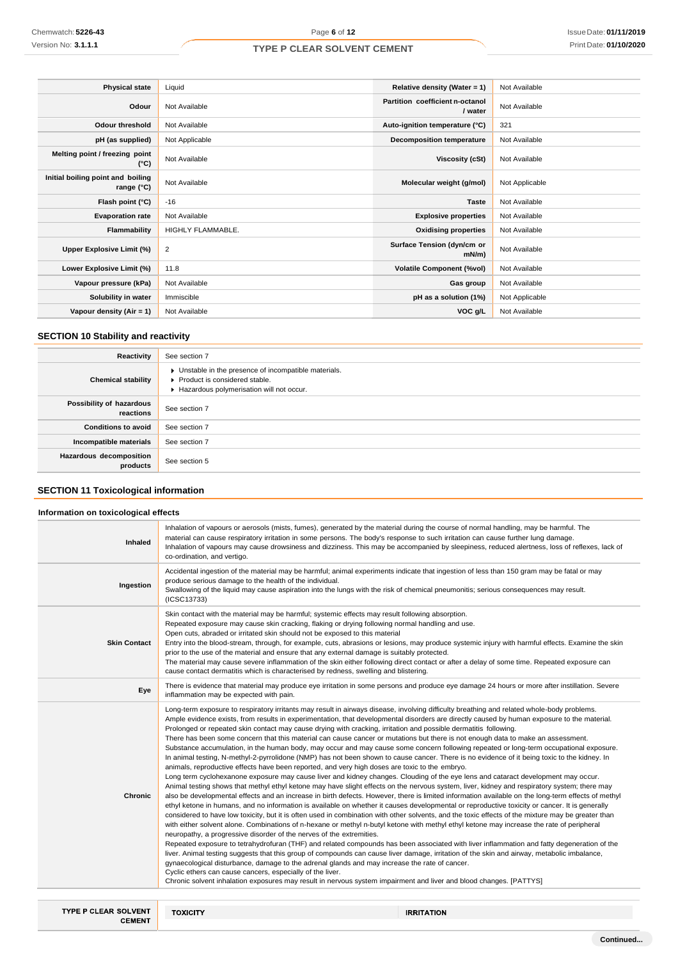| <b>Physical state</b>                           | Liquid            | Relative density (Water = $1$ )            | Not Available  |
|-------------------------------------------------|-------------------|--------------------------------------------|----------------|
| Odour                                           | Not Available     | Partition coefficient n-octanol<br>/ water | Not Available  |
| <b>Odour threshold</b>                          | Not Available     | Auto-ignition temperature (°C)             | 321            |
| pH (as supplied)                                | Not Applicable    | <b>Decomposition temperature</b>           | Not Available  |
| Melting point / freezing point<br>(°C)          | Not Available     | Viscosity (cSt)                            | Not Available  |
| Initial boiling point and boiling<br>range (°C) | Not Available     | Molecular weight (g/mol)                   | Not Applicable |
| Flash point (°C)                                | $-16$             | <b>Taste</b>                               | Not Available  |
| <b>Evaporation rate</b>                         | Not Available     | <b>Explosive properties</b>                | Not Available  |
| Flammability                                    | HIGHLY FLAMMABLE. | <b>Oxidising properties</b>                | Not Available  |
| Upper Explosive Limit (%)                       | 2                 | Surface Tension (dyn/cm or<br>mN/m         | Not Available  |
| Lower Explosive Limit (%)                       | 11.8              | <b>Volatile Component (%vol)</b>           | Not Available  |
| Vapour pressure (kPa)                           | Not Available     | Gas group                                  | Not Available  |
| Solubility in water                             | Immiscible        | pH as a solution (1%)                      | Not Applicable |
| Vapour density (Air = 1)                        | Not Available     | VOC g/L                                    | Not Available  |

### **SECTION 10 Stability and reactivity**

| Reactivity                            | See section 7                                                                                                                      |
|---------------------------------------|------------------------------------------------------------------------------------------------------------------------------------|
| <b>Chemical stability</b>             | • Unstable in the presence of incompatible materials.<br>Product is considered stable.<br>Hazardous polymerisation will not occur. |
| Possibility of hazardous<br>reactions | See section 7                                                                                                                      |
| <b>Conditions to avoid</b>            | See section 7                                                                                                                      |
| Incompatible materials                | See section 7                                                                                                                      |
| Hazardous decomposition<br>products   | See section 5                                                                                                                      |

### **SECTION 11 Toxicological information**

### **Information on toxicological effects**

| Inhaled                     | Inhalation of vapours or aerosols (mists, fumes), generated by the material during the course of normal handling, may be harmful. The<br>material can cause respiratory irritation in some persons. The body's response to such irritation can cause further lung damage.<br>Inhalation of vapours may cause drowsiness and dizziness. This may be accompanied by sleepiness, reduced alertness, loss of reflexes, lack of<br>co-ordination, and vertigo.                                                                                                                                                                                                                                                                                                                                                                                                                                                                                                                                                                                                                                                                                                                                                                                                                                                                                                                                                                                                                                                                                                                                                                                                                                                                                                                                                                                                                                                                                                                                                                                                                                                                                                                                                                                                                                                                                                                                                                                                                                              |
|-----------------------------|--------------------------------------------------------------------------------------------------------------------------------------------------------------------------------------------------------------------------------------------------------------------------------------------------------------------------------------------------------------------------------------------------------------------------------------------------------------------------------------------------------------------------------------------------------------------------------------------------------------------------------------------------------------------------------------------------------------------------------------------------------------------------------------------------------------------------------------------------------------------------------------------------------------------------------------------------------------------------------------------------------------------------------------------------------------------------------------------------------------------------------------------------------------------------------------------------------------------------------------------------------------------------------------------------------------------------------------------------------------------------------------------------------------------------------------------------------------------------------------------------------------------------------------------------------------------------------------------------------------------------------------------------------------------------------------------------------------------------------------------------------------------------------------------------------------------------------------------------------------------------------------------------------------------------------------------------------------------------------------------------------------------------------------------------------------------------------------------------------------------------------------------------------------------------------------------------------------------------------------------------------------------------------------------------------------------------------------------------------------------------------------------------------------------------------------------------------------------------------------------------------|
| Ingestion                   | Accidental ingestion of the material may be harmful; animal experiments indicate that ingestion of less than 150 gram may be fatal or may<br>produce serious damage to the health of the individual.<br>Swallowing of the liquid may cause aspiration into the lungs with the risk of chemical pneumonitis; serious consequences may result.<br>(ICSC13733)                                                                                                                                                                                                                                                                                                                                                                                                                                                                                                                                                                                                                                                                                                                                                                                                                                                                                                                                                                                                                                                                                                                                                                                                                                                                                                                                                                                                                                                                                                                                                                                                                                                                                                                                                                                                                                                                                                                                                                                                                                                                                                                                            |
| <b>Skin Contact</b>         | Skin contact with the material may be harmful; systemic effects may result following absorption.<br>Repeated exposure may cause skin cracking, flaking or drying following normal handling and use.<br>Open cuts, abraded or irritated skin should not be exposed to this material<br>Entry into the blood-stream, through, for example, cuts, abrasions or lesions, may produce systemic injury with harmful effects. Examine the skin<br>prior to the use of the material and ensure that any external damage is suitably protected.<br>The material may cause severe inflammation of the skin either following direct contact or after a delay of some time. Repeated exposure can<br>cause contact dermatitis which is characterised by redness, swelling and blistering.                                                                                                                                                                                                                                                                                                                                                                                                                                                                                                                                                                                                                                                                                                                                                                                                                                                                                                                                                                                                                                                                                                                                                                                                                                                                                                                                                                                                                                                                                                                                                                                                                                                                                                                          |
| Eye                         | There is evidence that material may produce eye irritation in some persons and produce eye damage 24 hours or more after instillation. Severe<br>inflammation may be expected with pain.                                                                                                                                                                                                                                                                                                                                                                                                                                                                                                                                                                                                                                                                                                                                                                                                                                                                                                                                                                                                                                                                                                                                                                                                                                                                                                                                                                                                                                                                                                                                                                                                                                                                                                                                                                                                                                                                                                                                                                                                                                                                                                                                                                                                                                                                                                               |
| <b>Chronic</b>              | Long-term exposure to respiratory irritants may result in airways disease, involving difficulty breathing and related whole-body problems.<br>Ample evidence exists, from results in experimentation, that developmental disorders are directly caused by human exposure to the material.<br>Prolonged or repeated skin contact may cause drying with cracking, irritation and possible dermatitis following.<br>There has been some concern that this material can cause cancer or mutations but there is not enough data to make an assessment.<br>Substance accumulation, in the human body, may occur and may cause some concern following repeated or long-term occupational exposure.<br>In animal testing, N-methyl-2-pyrrolidone (NMP) has not been shown to cause cancer. There is no evidence of it being toxic to the kidney. In<br>animals, reproductive effects have been reported, and very high doses are toxic to the embryo.<br>Long term cyclohexanone exposure may cause liver and kidney changes. Clouding of the eye lens and cataract development may occur.<br>Animal testing shows that methyl ethyl ketone may have slight effects on the nervous system, liver, kidney and respiratory system; there may<br>also be developmental effects and an increase in birth defects. However, there is limited information available on the long-term effects of methyl<br>ethyl ketone in humans, and no information is available on whether it causes developmental or reproductive toxicity or cancer. It is generally<br>considered to have low toxicity, but it is often used in combination with other solvents, and the toxic effects of the mixture may be greater than<br>with either solvent alone. Combinations of n-hexane or methyl n-butyl ketone with methyl ethyl ketone may increase the rate of peripheral<br>neuropathy, a progressive disorder of the nerves of the extremities.<br>Repeated exposure to tetrahydrofuran (THF) and related compounds has been associated with liver inflammation and fatty degeneration of the<br>liver. Animal testing suggests that this group of compounds can cause liver damage, irritation of the skin and airway, metabolic imbalance,<br>gynaecological disturbance, damage to the adrenal glands and may increase the rate of cancer.<br>Cyclic ethers can cause cancers, especially of the liver.<br>Chronic solvent inhalation exposures may result in nervous system impairment and liver and blood changes. [PATTYS] |
| <b>TYPE P CLEAR SOLVENT</b> | <b>TOXICITY</b><br><b>IRRITATION</b>                                                                                                                                                                                                                                                                                                                                                                                                                                                                                                                                                                                                                                                                                                                                                                                                                                                                                                                                                                                                                                                                                                                                                                                                                                                                                                                                                                                                                                                                                                                                                                                                                                                                                                                                                                                                                                                                                                                                                                                                                                                                                                                                                                                                                                                                                                                                                                                                                                                                   |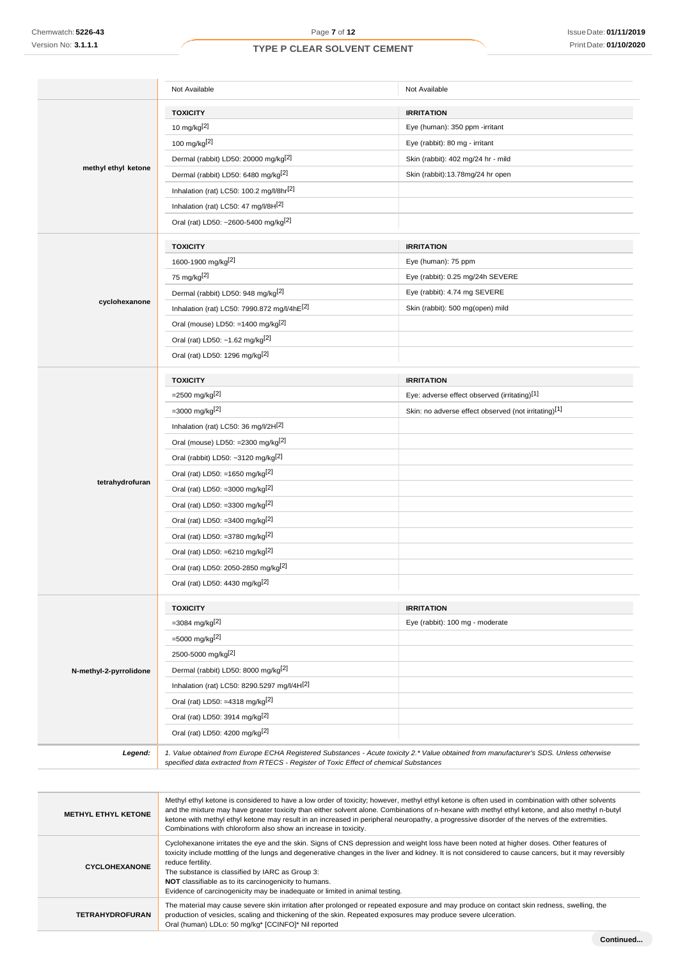**TETRAHYDROFURAN**

### **TYPE P CLEAR SOLVENT CEMENT**

|                            | Not Available                                                                                                                                                                                                                                                                                                                                                                                                                                                                                                           | Not Available                                        |  |  |  |
|----------------------------|-------------------------------------------------------------------------------------------------------------------------------------------------------------------------------------------------------------------------------------------------------------------------------------------------------------------------------------------------------------------------------------------------------------------------------------------------------------------------------------------------------------------------|------------------------------------------------------|--|--|--|
|                            | <b>TOXICITY</b><br><b>IRRITATION</b>                                                                                                                                                                                                                                                                                                                                                                                                                                                                                    |                                                      |  |  |  |
|                            | 10 mg/kg $[2]$                                                                                                                                                                                                                                                                                                                                                                                                                                                                                                          | Eye (human): 350 ppm -irritant                       |  |  |  |
|                            | 100 mg/kg[ $2$ ]                                                                                                                                                                                                                                                                                                                                                                                                                                                                                                        | Eye (rabbit): 80 mg - irritant                       |  |  |  |
|                            | Dermal (rabbit) LD50: 20000 mg/kg <sup>[2]</sup>                                                                                                                                                                                                                                                                                                                                                                                                                                                                        | Skin (rabbit): 402 mg/24 hr - mild                   |  |  |  |
| methyl ethyl ketone        | Dermal (rabbit) LD50: 6480 mg/kg <sup>[2]</sup>                                                                                                                                                                                                                                                                                                                                                                                                                                                                         | Skin (rabbit):13.78mg/24 hr open                     |  |  |  |
|                            | Inhalation (rat) LC50: 100.2 mg/l/8hr <sup>[2]</sup>                                                                                                                                                                                                                                                                                                                                                                                                                                                                    |                                                      |  |  |  |
|                            | Inhalation (rat) LC50: 47 mg/l/8H[2]                                                                                                                                                                                                                                                                                                                                                                                                                                                                                    |                                                      |  |  |  |
|                            | Oral (rat) LD50: ~2600-5400 mg/kg <sup>[2]</sup>                                                                                                                                                                                                                                                                                                                                                                                                                                                                        |                                                      |  |  |  |
|                            |                                                                                                                                                                                                                                                                                                                                                                                                                                                                                                                         |                                                      |  |  |  |
|                            | <b>TOXICITY</b>                                                                                                                                                                                                                                                                                                                                                                                                                                                                                                         | <b>IRRITATION</b>                                    |  |  |  |
|                            | 1600-1900 mg/kg <sup>[2]</sup>                                                                                                                                                                                                                                                                                                                                                                                                                                                                                          | Eye (human): 75 ppm                                  |  |  |  |
|                            | 75 mg/kg[2]                                                                                                                                                                                                                                                                                                                                                                                                                                                                                                             | Eye (rabbit): 0.25 mg/24h SEVERE                     |  |  |  |
|                            | Dermal (rabbit) LD50: 948 mg/kg <sup>[2]</sup>                                                                                                                                                                                                                                                                                                                                                                                                                                                                          | Eye (rabbit): 4.74 mg SEVERE                         |  |  |  |
| cyclohexanone              | Inhalation (rat) LC50: 7990.872 mg/l/4hE[2]                                                                                                                                                                                                                                                                                                                                                                                                                                                                             | Skin (rabbit): 500 mg(open) mild                     |  |  |  |
|                            | Oral (mouse) LD50: =1400 mg/kg <sup>[2]</sup>                                                                                                                                                                                                                                                                                                                                                                                                                                                                           |                                                      |  |  |  |
|                            | Oral (rat) LD50: ~1.62 mg/kg <sup>[2]</sup>                                                                                                                                                                                                                                                                                                                                                                                                                                                                             |                                                      |  |  |  |
|                            | Oral (rat) LD50: 1296 mg/kg <sup>[2]</sup>                                                                                                                                                                                                                                                                                                                                                                                                                                                                              |                                                      |  |  |  |
|                            |                                                                                                                                                                                                                                                                                                                                                                                                                                                                                                                         |                                                      |  |  |  |
|                            | <b>TOXICITY</b>                                                                                                                                                                                                                                                                                                                                                                                                                                                                                                         | <b>IRRITATION</b>                                    |  |  |  |
|                            | $=$ 2500 mg/kg <sup>[2]</sup>                                                                                                                                                                                                                                                                                                                                                                                                                                                                                           | Eye: adverse effect observed (irritating)[1]         |  |  |  |
|                            | $=3000$ mg/kg <sup>[2]</sup>                                                                                                                                                                                                                                                                                                                                                                                                                                                                                            | Skin: no adverse effect observed (not irritating)[1] |  |  |  |
|                            | Inhalation (rat) LC50: 36 mg/l/2H[2]                                                                                                                                                                                                                                                                                                                                                                                                                                                                                    |                                                      |  |  |  |
|                            | Oral (mouse) LD50: =2300 mg/kg <sup>[2]</sup>                                                                                                                                                                                                                                                                                                                                                                                                                                                                           |                                                      |  |  |  |
|                            | Oral (rabbit) LD50: ~3120 mg/kg <sup>[2]</sup>                                                                                                                                                                                                                                                                                                                                                                                                                                                                          |                                                      |  |  |  |
| tetrahydrofuran            | Oral (rat) LD50: =1650 mg/kg <sup>[2]</sup>                                                                                                                                                                                                                                                                                                                                                                                                                                                                             |                                                      |  |  |  |
|                            | Oral (rat) LD50: =3000 mg/kg <sup>[2]</sup>                                                                                                                                                                                                                                                                                                                                                                                                                                                                             |                                                      |  |  |  |
|                            | Oral (rat) LD50: =3300 mg/kg <sup>[2]</sup>                                                                                                                                                                                                                                                                                                                                                                                                                                                                             |                                                      |  |  |  |
|                            | Oral (rat) LD50: =3400 mg/kg <sup>[2]</sup>                                                                                                                                                                                                                                                                                                                                                                                                                                                                             |                                                      |  |  |  |
|                            | Oral (rat) LD50: =3780 mg/kg[2]                                                                                                                                                                                                                                                                                                                                                                                                                                                                                         |                                                      |  |  |  |
|                            | Oral (rat) LD50: =6210 mg/kg <sup>[2]</sup>                                                                                                                                                                                                                                                                                                                                                                                                                                                                             |                                                      |  |  |  |
|                            | Oral (rat) LD50: 2050-2850 mg/kg <sup>[2]</sup>                                                                                                                                                                                                                                                                                                                                                                                                                                                                         |                                                      |  |  |  |
|                            | Oral (rat) LD50: 4430 mg/kg <sup>[2]</sup>                                                                                                                                                                                                                                                                                                                                                                                                                                                                              |                                                      |  |  |  |
|                            | <b>TOXICITY</b>                                                                                                                                                                                                                                                                                                                                                                                                                                                                                                         | <b>IRRITATION</b>                                    |  |  |  |
|                            | $=3084$ mg/kg <sup>[2]</sup>                                                                                                                                                                                                                                                                                                                                                                                                                                                                                            | Eye (rabbit): 100 mg - moderate                      |  |  |  |
|                            | =5000 mg/kg <sup>[2]</sup>                                                                                                                                                                                                                                                                                                                                                                                                                                                                                              |                                                      |  |  |  |
|                            | 2500-5000 mg/kg <sup>[2]</sup>                                                                                                                                                                                                                                                                                                                                                                                                                                                                                          |                                                      |  |  |  |
| N-methyl-2-pyrrolidone     | Dermal (rabbit) LD50: 8000 mg/kg[2]                                                                                                                                                                                                                                                                                                                                                                                                                                                                                     |                                                      |  |  |  |
|                            | Inhalation (rat) LC50: 8290.5297 mg/l/4H[2]                                                                                                                                                                                                                                                                                                                                                                                                                                                                             |                                                      |  |  |  |
|                            | Oral (rat) LD50: =4318 mg/kg <sup>[2]</sup>                                                                                                                                                                                                                                                                                                                                                                                                                                                                             |                                                      |  |  |  |
|                            | Oral (rat) LD50: 3914 mg/kg[2]                                                                                                                                                                                                                                                                                                                                                                                                                                                                                          |                                                      |  |  |  |
|                            | Oral (rat) LD50: 4200 mg/kg <sup>[2]</sup>                                                                                                                                                                                                                                                                                                                                                                                                                                                                              |                                                      |  |  |  |
| Legend:                    | 1. Value obtained from Europe ECHA Registered Substances - Acute toxicity 2.* Value obtained from manufacturer's SDS. Unless otherwise                                                                                                                                                                                                                                                                                                                                                                                  |                                                      |  |  |  |
|                            | specified data extracted from RTECS - Register of Toxic Effect of chemical Substances                                                                                                                                                                                                                                                                                                                                                                                                                                   |                                                      |  |  |  |
|                            |                                                                                                                                                                                                                                                                                                                                                                                                                                                                                                                         |                                                      |  |  |  |
| <b>METHYL ETHYL KETONE</b> | Methyl ethyl ketone is considered to have a low order of toxicity; however, methyl ethyl ketone is often used in combination with other solvents<br>and the mixture may have greater toxicity than either solvent alone. Combinations of n-hexane with methyl ethyl tetone, and also methyl n-butyl<br>ketone with methyl ethyl ketone may result in an increased in peripheral neuropathy, a progressive disorder of the nerves of the extremities.<br>Combinations with chloroform also show an increase in toxicity. |                                                      |  |  |  |
| CYCLOHEXANONE              | Cyclohexanone irritates the eye and the skin. Signs of CNS depression and weight loss have been noted at higher doses. Other features of<br>toxicity include mottling of the lungs and degenerative changes in the liver and kidney. It is not considered to cause cancers, but it may reversibly<br>reduce fertility.<br>The substance is classified by IARC as Group 3:<br>NOT classifiable as to its carcinogenicity to humans.<br>Evidence of carcinogenicity may be inadequate or limited in animal testing.       |                                                      |  |  |  |

The material may cause severe skin irritation after prolonged or repeated exposure and may produce on contact skin redness, swelling, the

production of vesicles, scaling and thickening of the skin. Repeated exposures may produce severe ulceration.

Oral (human) LDLo: 50 mg/kg\* [CCINFO]\* Nil reported

**Continued...**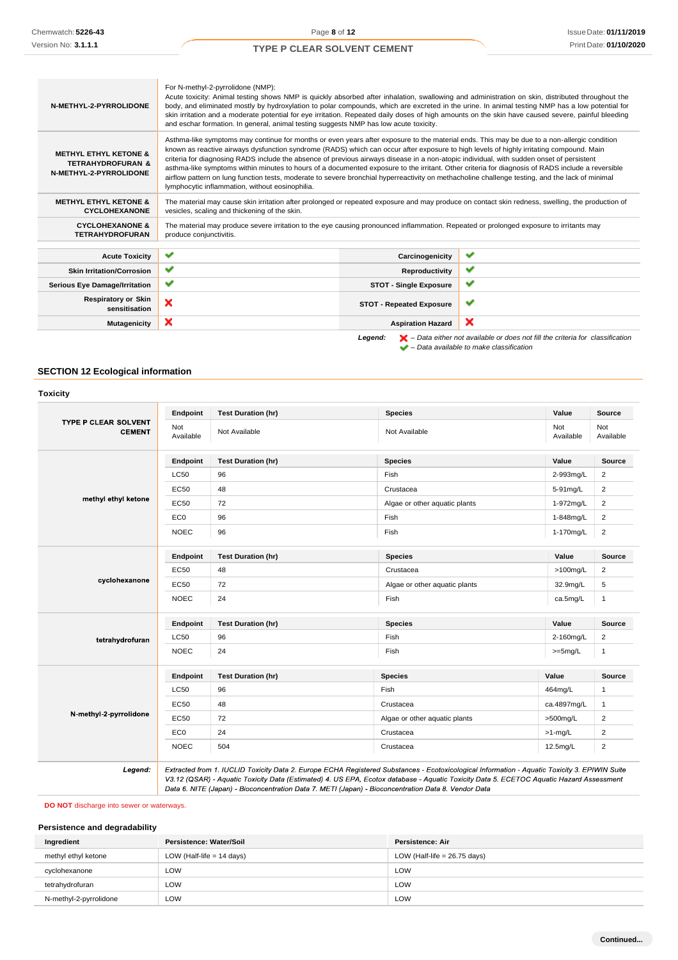| N-METHYL-2-PYRROLIDONE                                                                     | For N-methyl-2-pyrrolidone (NMP):<br>Acute toxicity: Animal testing shows NMP is quickly absorbed after inhalation, swallowing and administration on skin, distributed throughout the<br>body, and eliminated mostly by hydroxylation to polar compounds, which are excreted in the urine. In animal testing NMP has a low potential for<br>skin irritation and a moderate potential for eye irritation. Repeated daily doses of high amounts on the skin have caused severe, painful bleeding<br>and eschar formation. In general, animal testing suggests NMP has low acute toxicity.                                                                                                                                                                                                      |                     |                                                                                                    |  |  |  |  |
|--------------------------------------------------------------------------------------------|----------------------------------------------------------------------------------------------------------------------------------------------------------------------------------------------------------------------------------------------------------------------------------------------------------------------------------------------------------------------------------------------------------------------------------------------------------------------------------------------------------------------------------------------------------------------------------------------------------------------------------------------------------------------------------------------------------------------------------------------------------------------------------------------|---------------------|----------------------------------------------------------------------------------------------------|--|--|--|--|
| <b>METHYL ETHYL KETONE &amp;</b><br><b>TETRAHYDROFURAN &amp;</b><br>N-METHYL-2-PYRROLIDONE | Asthma-like symptoms may continue for months or even years after exposure to the material ends. This may be due to a non-allergic condition<br>known as reactive airways dysfunction syndrome (RADS) which can occur after exposure to high levels of highly irritating compound. Main<br>criteria for diagnosing RADS include the absence of previous airways disease in a non-atopic individual, with sudden onset of persistent<br>asthma-like symptoms within minutes to hours of a documented exposure to the irritant. Other criteria for diagnosis of RADS include a reversible<br>airflow pattern on lung function tests, moderate to severe bronchial hyperreactivity on methacholine challenge testing, and the lack of minimal<br>lymphocytic inflammation, without eosinophilia. |                     |                                                                                                    |  |  |  |  |
| <b>METHYL ETHYL KETONE &amp;</b><br><b>CYCLOHEXANONE</b>                                   | The material may cause skin irritation after prolonged or repeated exposure and may produce on contact skin redness, swelling, the production of<br>vesicles, scaling and thickening of the skin.                                                                                                                                                                                                                                                                                                                                                                                                                                                                                                                                                                                            |                     |                                                                                                    |  |  |  |  |
| <b>CYCLOHEXANONE &amp;</b><br><b>TETRAHYDROFURAN</b>                                       | The material may produce severe irritation to the eye causing pronounced inflammation. Repeated or prolonged exposure to irritants may<br>produce conjunctivitis.                                                                                                                                                                                                                                                                                                                                                                                                                                                                                                                                                                                                                            |                     |                                                                                                    |  |  |  |  |
|                                                                                            | ✔                                                                                                                                                                                                                                                                                                                                                                                                                                                                                                                                                                                                                                                                                                                                                                                            |                     | ✓                                                                                                  |  |  |  |  |
| <b>Acute Toxicity</b>                                                                      |                                                                                                                                                                                                                                                                                                                                                                                                                                                                                                                                                                                                                                                                                                                                                                                              | Carcinogenicity     |                                                                                                    |  |  |  |  |
| <b>Skin Irritation/Corrosion</b>                                                           | ✔                                                                                                                                                                                                                                                                                                                                                                                                                                                                                                                                                                                                                                                                                                                                                                                            | ✓<br>Reproductivity |                                                                                                    |  |  |  |  |
| <b>Serious Eye Damage/Irritation</b>                                                       | ✔<br>✔<br><b>STOT - Single Exposure</b>                                                                                                                                                                                                                                                                                                                                                                                                                                                                                                                                                                                                                                                                                                                                                      |                     |                                                                                                    |  |  |  |  |
| <b>Respiratory or Skin</b><br>sensitisation                                                | ×<br>✔<br><b>STOT - Repeated Exposure</b>                                                                                                                                                                                                                                                                                                                                                                                                                                                                                                                                                                                                                                                                                                                                                    |                     |                                                                                                    |  |  |  |  |
| <b>Mutagenicity</b>                                                                        | ×<br>×<br><b>Aspiration Hazard</b>                                                                                                                                                                                                                                                                                                                                                                                                                                                                                                                                                                                                                                                                                                                                                           |                     |                                                                                                    |  |  |  |  |
|                                                                                            |                                                                                                                                                                                                                                                                                                                                                                                                                                                                                                                                                                                                                                                                                                                                                                                              | Legend:             | $\blacktriangleright$ – Data either not available or does not fill the criteria for classification |  |  |  |  |

*– Data available to make classification*

### **SECTION 12 Ecological information**

|                                       | Endpoint         | <b>Test Duration (hr)</b> | <b>Species</b>                                                                                                                                                                                                                                                                           | Value            | <b>Source</b>           |
|---------------------------------------|------------------|---------------------------|------------------------------------------------------------------------------------------------------------------------------------------------------------------------------------------------------------------------------------------------------------------------------------------|------------------|-------------------------|
| TYPE P CLEAR SOLVENT<br><b>CEMENT</b> | Not<br>Available | Not Available             | Not Available                                                                                                                                                                                                                                                                            | Not<br>Available | <b>Not</b><br>Available |
|                                       | Endpoint         | <b>Test Duration (hr)</b> | <b>Species</b>                                                                                                                                                                                                                                                                           | Value            | Source                  |
|                                       | <b>LC50</b>      | 96                        | Fish                                                                                                                                                                                                                                                                                     | 2-993mg/L        | $\overline{2}$          |
|                                       | <b>EC50</b>      | 48                        | Crustacea                                                                                                                                                                                                                                                                                | 5-91mg/L         | $\overline{2}$          |
| methyl ethyl ketone                   | <b>EC50</b>      | 72                        | Algae or other aquatic plants                                                                                                                                                                                                                                                            | 1-972mg/L        | $\overline{2}$          |
|                                       | EC <sub>0</sub>  | 96                        | Fish                                                                                                                                                                                                                                                                                     | 1-848mg/L        | $\overline{2}$          |
|                                       | <b>NOEC</b>      | 96                        | Fish                                                                                                                                                                                                                                                                                     | 1-170mg/L        | $\overline{c}$          |
|                                       | Endpoint         | <b>Test Duration (hr)</b> | <b>Species</b>                                                                                                                                                                                                                                                                           | Value            | Source                  |
|                                       | <b>EC50</b>      | 48                        | Crustacea                                                                                                                                                                                                                                                                                | $>100$ mg/L      | $\overline{c}$          |
| cyclohexanone                         | <b>EC50</b>      | 72                        | Algae or other aquatic plants                                                                                                                                                                                                                                                            | 32.9mg/L         | 5                       |
|                                       | <b>NOEC</b>      | 24                        | Fish                                                                                                                                                                                                                                                                                     | ca.5mg/L         | $\mathbf{1}$            |
|                                       | Endpoint         | <b>Test Duration (hr)</b> | <b>Species</b>                                                                                                                                                                                                                                                                           | Value            | <b>Source</b>           |
| tetrahydrofuran                       | <b>LC50</b>      | 96                        | Fish                                                                                                                                                                                                                                                                                     | 2-160mg/L        | $\overline{c}$          |
|                                       | <b>NOEC</b>      | 24                        | Fish                                                                                                                                                                                                                                                                                     | $>=5mg/L$        | $\mathbf{1}$            |
|                                       | Endpoint         | <b>Test Duration (hr)</b> | <b>Species</b>                                                                                                                                                                                                                                                                           | Value            | Source                  |
|                                       | <b>LC50</b>      | 96                        | Fish                                                                                                                                                                                                                                                                                     | 464mg/L          | $\mathbf{1}$            |
|                                       | <b>EC50</b>      | 48                        | Crustacea                                                                                                                                                                                                                                                                                | ca.4897mg/L      | $\mathbf{1}$            |
| N-methyl-2-pyrrolidone                | <b>EC50</b>      | 72                        | Algae or other aquatic plants                                                                                                                                                                                                                                                            | >500mg/L         | $\overline{c}$          |
|                                       | EC <sub>0</sub>  | 24                        | Crustacea                                                                                                                                                                                                                                                                                | $>1$ -mg/L       | $\overline{c}$          |
|                                       | <b>NOEC</b>      | 504                       | Crustacea                                                                                                                                                                                                                                                                                | 12.5mg/L         | $\overline{c}$          |
| Legend:                               |                  |                           | Extracted from 1. IUCLID Toxicity Data 2. Europe ECHA Registered Substances - Ecotoxicological Information - Aquatic Toxicity 3. EPIWIN Suite<br>V3.12 (QSAR) - Aquatic Toxicity Data (Estimated) 4. US EPA, Ecotox database - Aquatic Toxicity Data 5. ECETOC Aquatic Hazard Assessment |                  |                         |

**DO NOT** discharge into sewer or waterways.

### **Persistence and degradability**

| Ingredient             | Persistence: Water/Soil     | Persistence: Air               |
|------------------------|-----------------------------|--------------------------------|
| methyl ethyl ketone    | LOW (Half-life $= 14$ days) | LOW (Half-life $= 26.75$ days) |
| cyclohexanone          | LOW                         | LOW                            |
| tetrahydrofuran        | LOW                         | LOW                            |
| N-methyl-2-pyrrolidone | LOW                         | LOW                            |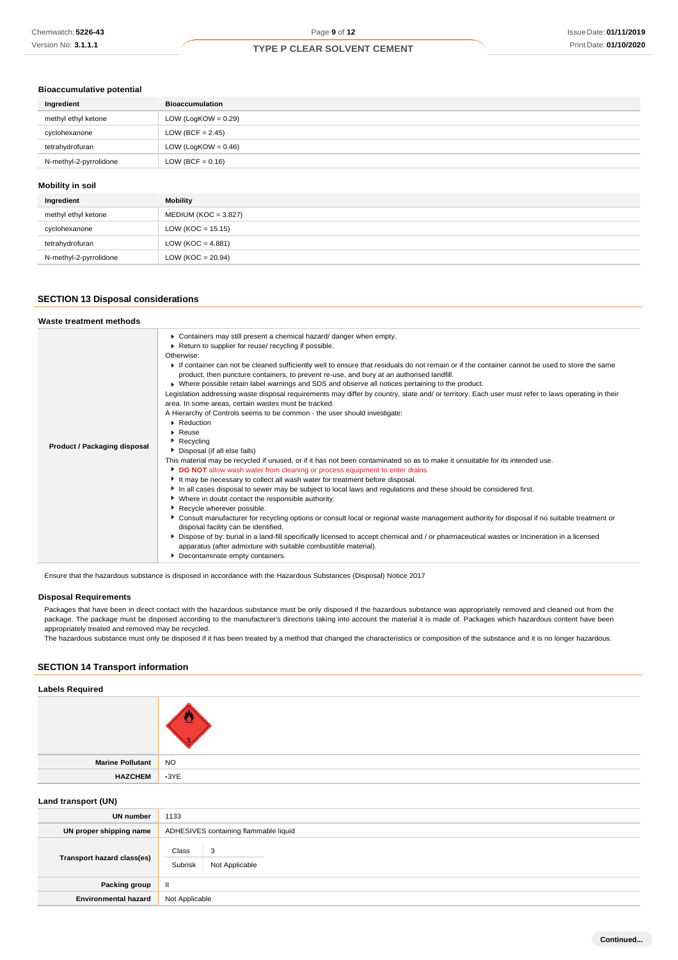### **Bioaccumulative potential**

| Ingredient              | <b>Bioaccumulation</b> |
|-------------------------|------------------------|
| methyl ethyl ketone     | LOW (LogKOW = $0.29$ ) |
| cyclohexanone           | LOW (BCF = $2.45$ )    |
| tetrahydrofuran         | LOW (LogKOW = $0.46$ ) |
| N-methyl-2-pyrrolidone  | LOW (BCF = $0.16$ )    |
|                         |                        |
| <b>Mobility in soil</b> |                        |

| Ingredient             | Mobility                |
|------------------------|-------------------------|
| methyl ethyl ketone    | MEDIUM (KOC = $3.827$ ) |
| cyclohexanone          | $LOW (KOC = 15.15)$     |
| tetrahydrofuran        | LOW (KOC = $4.881$ )    |
| N-methyl-2-pyrrolidone | $LOW (KOC = 20.94)$     |

### **SECTION 13 Disposal considerations**

| Waste treatment methods      |                                                                                                                                                                                                                                                                                                                                                                                                                                                                                                                                                                                                                                                                                                                                                                                                                                                                                                                                                                                                                                                                                                                                                                                                                                                                                                                                                                                                                                                                                                                                                                                                                                                                                                                                                                                                                                            |
|------------------------------|--------------------------------------------------------------------------------------------------------------------------------------------------------------------------------------------------------------------------------------------------------------------------------------------------------------------------------------------------------------------------------------------------------------------------------------------------------------------------------------------------------------------------------------------------------------------------------------------------------------------------------------------------------------------------------------------------------------------------------------------------------------------------------------------------------------------------------------------------------------------------------------------------------------------------------------------------------------------------------------------------------------------------------------------------------------------------------------------------------------------------------------------------------------------------------------------------------------------------------------------------------------------------------------------------------------------------------------------------------------------------------------------------------------------------------------------------------------------------------------------------------------------------------------------------------------------------------------------------------------------------------------------------------------------------------------------------------------------------------------------------------------------------------------------------------------------------------------------|
| Product / Packaging disposal | • Containers may still present a chemical hazard/ danger when empty.<br>Return to supplier for reuse/ recycling if possible.<br>Otherwise:<br>If container can not be cleaned sufficiently well to ensure that residuals do not remain or if the container cannot be used to store the same<br>product, then puncture containers, to prevent re-use, and bury at an authorised landfill.<br>▶ Where possible retain label warnings and SDS and observe all notices pertaining to the product.<br>Legislation addressing waste disposal requirements may differ by country, state and/ or territory. Each user must refer to laws operating in their<br>area. In some areas, certain wastes must be tracked.<br>A Hierarchy of Controls seems to be common - the user should investigate:<br>Reduction<br>$\blacktriangleright$ Reuse<br>Recycling<br>Disposal (if all else fails)<br>This material may be recycled if unused, or if it has not been contaminated so as to make it unsuitable for its intended use.<br>DO NOT allow wash water from cleaning or process equipment to enter drains.<br>It may be necessary to collect all wash water for treatment before disposal.<br>In all cases disposal to sewer may be subject to local laws and regulations and these should be considered first.<br>• Where in doubt contact the responsible authority.<br>Recycle wherever possible.<br>▶ Consult manufacturer for recycling options or consult local or regional waste management authority for disposal if no suitable treatment or<br>disposal facility can be identified.<br>> Dispose of by: burial in a land-fill specifically licensed to accept chemical and / or pharmaceutical wastes or Incineration in a licensed<br>apparatus (after admixture with suitable combustible material).<br>Decontaminate empty containers. |

Ensure that the hazardous substance is disposed in accordance with the Hazardous Substances (Disposal) Notice 2017

### **Disposal Requirements**

Packages that have been in direct contact with the hazardous substance must be only disposed if the hazardous substance was appropriately removed and cleaned out from the package. The package must be disposed according to the manufacturer's directions taking into account the material it is made of. Packages which hazardous content have been appropriately treated and removed may be recycled.

The hazardous substance must only be disposed if it has been treated by a method that changed the characteristics or composition of the substance and it is no longer hazardous.

### **SECTION 14 Transport information**

# **Labels Required Marine Pollutant** NO **HAZCHEM** •3YE

### **Land transport (UN)**

| $\sim$                      |                                         |  |  |
|-----------------------------|-----------------------------------------|--|--|
| UN number                   | 1133                                    |  |  |
| UN proper shipping name     | ADHESIVES containing flammable liquid   |  |  |
| Transport hazard class(es)  | Class<br>3<br>Subrisk<br>Not Applicable |  |  |
| Packing group               | $\mathbf{I}$                            |  |  |
| <b>Environmental hazard</b> | Not Applicable                          |  |  |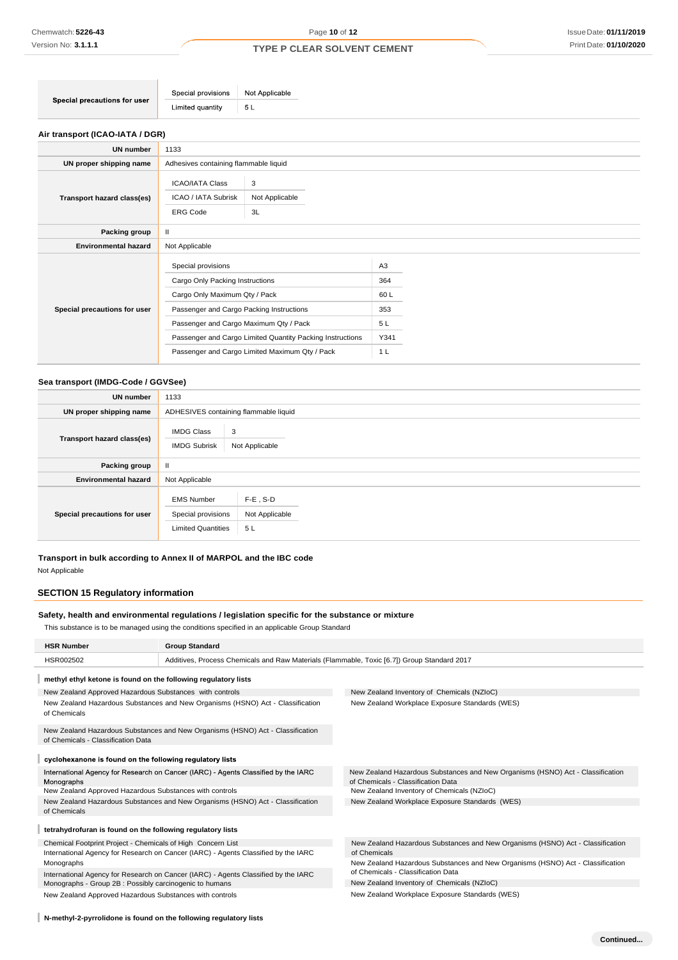| Special provisions   Not Applicable |  |
|-------------------------------------|--|
| Limited quantity<br>Б.<br>ິບ L      |  |
|                                     |  |

### **Air transport (ICAO-IATA / DGR)**

| <b>UN number</b>             | 1133                                                                                                                                                                         |                                                                                                             |                                                                      |  |
|------------------------------|------------------------------------------------------------------------------------------------------------------------------------------------------------------------------|-------------------------------------------------------------------------------------------------------------|----------------------------------------------------------------------|--|
| UN proper shipping name      | Adhesives containing flammable liquid                                                                                                                                        |                                                                                                             |                                                                      |  |
| Transport hazard class(es)   | <b>ICAO/IATA Class</b><br>ICAO / IATA Subrisk<br><b>ERG Code</b>                                                                                                             | 3<br>Not Applicable<br>3L                                                                                   |                                                                      |  |
| Packing group                | $\mathbf{II}$                                                                                                                                                                |                                                                                                             |                                                                      |  |
| <b>Environmental hazard</b>  | Not Applicable                                                                                                                                                               |                                                                                                             |                                                                      |  |
| Special precautions for user | Special provisions<br>Cargo Only Packing Instructions<br>Cargo Only Maximum Qty / Pack<br>Passenger and Cargo Packing Instructions<br>Passenger and Cargo Maximum Qty / Pack | Passenger and Cargo Limited Quantity Packing Instructions<br>Passenger and Cargo Limited Maximum Qty / Pack | A <sub>3</sub><br>364<br>60L<br>353<br>5 L<br>Y341<br>1 <sub>L</sub> |  |

### **Sea transport (IMDG-Code / GGVSee)**

| <b>UN number</b>             | 1133                                                                 |                                     |  |
|------------------------------|----------------------------------------------------------------------|-------------------------------------|--|
| UN proper shipping name      | ADHESIVES containing flammable liquid                                |                                     |  |
| Transport hazard class(es)   | <b>IMDG Class</b><br>3<br><b>IMDG Subrisk</b><br>Not Applicable      |                                     |  |
| Packing group                | $\mathbf{H}$                                                         |                                     |  |
| <b>Environmental hazard</b>  | Not Applicable                                                       |                                     |  |
| Special precautions for user | <b>EMS Number</b><br>Special provisions<br><b>Limited Quantities</b> | $F-E$ , S-D<br>Not Applicable<br>5L |  |

**Transport in bulk according to Annex II of MARPOL and the IBC code** Not Applicable

### **SECTION 15 Regulatory information**

### **Safety, health and environmental regulations / legislation specific for the substance or mixture**

This substance is to be managed using the conditions specified in an applicable Group Standard

| <b>HSR Number</b>                                                                                                    | <b>Group Standard</b>                                                                       |                                                                                                                      |  |  |
|----------------------------------------------------------------------------------------------------------------------|---------------------------------------------------------------------------------------------|----------------------------------------------------------------------------------------------------------------------|--|--|
| HSR002502                                                                                                            | Additives, Process Chemicals and Raw Materials (Flammable, Toxic [6.7]) Group Standard 2017 |                                                                                                                      |  |  |
| methyl ethyl ketone is found on the following regulatory lists                                                       |                                                                                             |                                                                                                                      |  |  |
| New Zealand Approved Hazardous Substances with controls                                                              |                                                                                             | New Zealand Inventory of Chemicals (NZIoC)                                                                           |  |  |
| New Zealand Hazardous Substances and New Organisms (HSNO) Act - Classification<br>of Chemicals                       |                                                                                             | New Zealand Workplace Exposure Standards (WES)                                                                       |  |  |
| New Zealand Hazardous Substances and New Organisms (HSNO) Act - Classification<br>of Chemicals - Classification Data |                                                                                             |                                                                                                                      |  |  |
| cyclohexanone is found on the following regulatory lists                                                             |                                                                                             |                                                                                                                      |  |  |
| International Agency for Research on Cancer (IARC) - Agents Classified by the IARC<br>Monographs                     |                                                                                             | New Zealand Hazardous Substances and New Organisms (HSNO) Act - Classification<br>of Chemicals - Classification Data |  |  |
| New Zealand Approved Hazardous Substances with controls                                                              |                                                                                             | New Zealand Inventory of Chemicals (NZIoC)                                                                           |  |  |
| New Zealand Hazardous Substances and New Organisms (HSNO) Act - Classification<br>of Chemicals                       |                                                                                             | New Zealand Workplace Exposure Standards (WES)                                                                       |  |  |
| tetrahydrofuran is found on the following regulatory lists                                                           |                                                                                             |                                                                                                                      |  |  |
| Chemical Footprint Project - Chemicals of High Concern List                                                          |                                                                                             | New Zealand Hazardous Substances and New Organisms (HSNO) Act - Classification                                       |  |  |
| International Agency for Research on Cancer (IARC) - Agents Classified by the IARC                                   |                                                                                             | of Chemicals                                                                                                         |  |  |
| Monographs                                                                                                           |                                                                                             | New Zealand Hazardous Substances and New Organisms (HSNO) Act - Classification                                       |  |  |
| International Agency for Research on Cancer (IARC) - Agents Classified by the IARC                                   |                                                                                             | of Chemicals - Classification Data                                                                                   |  |  |
| Monographs - Group 2B : Possibly carcinogenic to humans                                                              |                                                                                             | New Zealand Inventory of Chemicals (NZIoC)                                                                           |  |  |
| New Zealand Approved Hazardous Substances with controls                                                              |                                                                                             | New Zealand Workplace Exposure Standards (WES)                                                                       |  |  |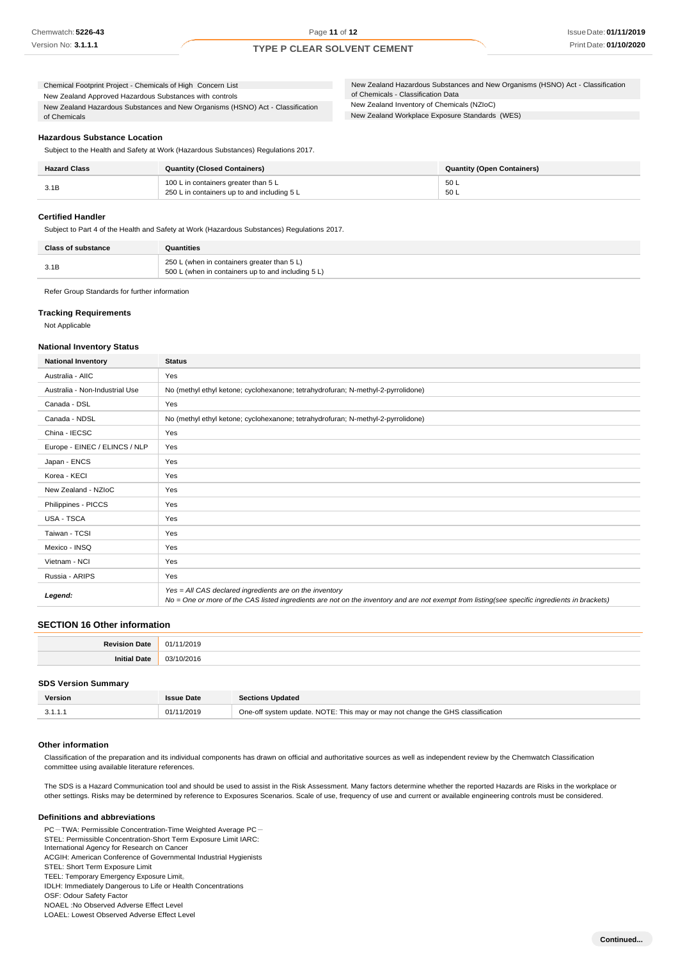New Zealand Hazardous Substances and New Organisms (HSNO) Act - Classification of Chemicals Chemical Footprint Project - Chemicals of High Concern List New Zealand Approved Hazardous Substances with controls

New Zealand Inventory of Chemicals (NZIoC) New Zealand Hazardous Substances and New Organisms (HSNO) Act - Classification of Chemicals - Classification Data

New Zealand Workplace Exposure Standards (WES)

### **Hazardous Substance Location**

Subject to the Health and Safety at Work (Hazardous Substances) Regulations 2017.

| <b>Hazard Class</b> | <b>Quantity (Closed Containers)</b>                                                 | <b>Quantity (Open Containers)</b> |
|---------------------|-------------------------------------------------------------------------------------|-----------------------------------|
| 3.1B                | 100 L in containers greater than 5 L<br>250 L in containers up to and including 5 L | 50 L<br>50 L                      |

### **Certified Handler**

Subject to Part 4 of the Health and Safety at Work (Hazardous Substances) Regulations 2017.

| <b>Class of substance</b> | Quantities                                                                                        |  |
|---------------------------|---------------------------------------------------------------------------------------------------|--|
| 3.1B                      | 250 L (when in containers greater than 5 L)<br>500 L (when in containers up to and including 5 L) |  |

Refer Group Standards for further information

### **Tracking Requirements**

Not Applicable

### **National Inventory Status**

| <b>National Inventory</b>      | <b>Status</b>                                                                                                                                                                                            |
|--------------------------------|----------------------------------------------------------------------------------------------------------------------------------------------------------------------------------------------------------|
| Australia - AIIC               | Yes                                                                                                                                                                                                      |
| Australia - Non-Industrial Use | No (methyl ethyl ketone; cyclohexanone; tetrahydrofuran; N-methyl-2-pyrrolidone)                                                                                                                         |
| Canada - DSL                   | Yes                                                                                                                                                                                                      |
| Canada - NDSL                  | No (methyl ethyl ketone; cyclohexanone; tetrahydrofuran; N-methyl-2-pyrrolidone)                                                                                                                         |
| China - IECSC                  | Yes                                                                                                                                                                                                      |
| Europe - EINEC / ELINCS / NLP  | Yes                                                                                                                                                                                                      |
| Japan - ENCS                   | Yes                                                                                                                                                                                                      |
| Korea - KECI                   | Yes                                                                                                                                                                                                      |
| New Zealand - NZIoC            | Yes                                                                                                                                                                                                      |
| Philippines - PICCS            | Yes                                                                                                                                                                                                      |
| USA - TSCA                     | Yes                                                                                                                                                                                                      |
| Taiwan - TCSI                  | Yes                                                                                                                                                                                                      |
| Mexico - INSQ                  | Yes                                                                                                                                                                                                      |
| Vietnam - NCI                  | Yes                                                                                                                                                                                                      |
| Russia - ARIPS                 | Yes                                                                                                                                                                                                      |
| Legend:                        | Yes = All CAS declared ingredients are on the inventory<br>No = One or more of the CAS listed ingredients are not on the inventory and are not exempt from listing(see specific ingredients in brackets) |

### **SECTION 16 Other information**

| <b>DAIR</b> | $\sim$ |
|-------------|--------|
|             |        |

#### **SDS Version Summary**

| Version | ssue Date  | <b>Sections Updated</b>                                                        |
|---------|------------|--------------------------------------------------------------------------------|
|         | 01/11/2019 | One-off system update. NOTE: This may or may not change the GHS classification |

### **Other information**

Classification of the preparation and its individual components has drawn on official and authoritative sources as well as independent review by the Chemwatch Classification committee using available literature references.

The SDS is a Hazard Communication tool and should be used to assist in the Risk Assessment. Many factors determine whether the reported Hazards are Risks in the workplace or other settings. Risks may be determined by reference to Exposures Scenarios. Scale of use, frequency of use and current or available engineering controls must be considered.

### **Definitions and abbreviations**

PC-TWA: Permissible Concentration-Time Weighted Average PC- STEL: Permissible Concentration-Short Term Exposure Limit IARC: International Agency for Research on Cancer ACGIH: American Conference of Governmental Industrial Hygienists STEL: Short Term Exposure Limit TEEL: Temporary Emergency Exposure Limit。 IDLH: Immediately Dangerous to Life or Health Concentrations OSF: Odour Safety Factor NOAEL :No Observed Adverse Effect Level LOAEL: Lowest Observed Adverse Effect Level